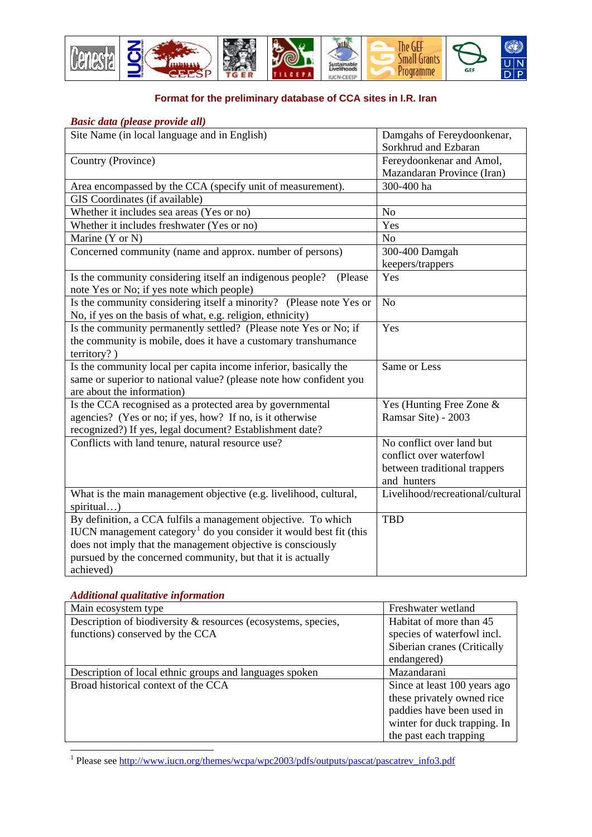

## **Format for the preliminary database of CCA sites in I.R. Iran**

## *Basic data (please provide all)*

| Site Name (in local language and in English)                                  | Damgahs of Fereydoonkenar,       |
|-------------------------------------------------------------------------------|----------------------------------|
|                                                                               | Sorkhrud and Ezbaran             |
| Country (Province)                                                            | Fereydoonkenar and Amol,         |
|                                                                               | Mazandaran Province (Iran)       |
| Area encompassed by the CCA (specify unit of measurement).                    | 300-400 ha                       |
| GIS Coordinates (if available)                                                |                                  |
| Whether it includes sea areas (Yes or no)                                     | No                               |
| Whether it includes freshwater (Yes or no)                                    | Yes                              |
| Marine (Y or N)                                                               | N <sub>o</sub>                   |
| Concerned community (name and approx. number of persons)                      | 300-400 Damgah                   |
|                                                                               | keepers/trappers                 |
| Is the community considering itself an indigenous people?<br>(Please          | Yes                              |
| note Yes or No; if yes note which people)                                     |                                  |
| Is the community considering itself a minority? (Please note Yes or           | N <sub>o</sub>                   |
| No, if yes on the basis of what, e.g. religion, ethnicity)                    |                                  |
| Is the community permanently settled? (Please note Yes or No; if              | Yes                              |
| the community is mobile, does it have a customary transhumance                |                                  |
| territory?)                                                                   |                                  |
| Is the community local per capita income inferior, basically the              | Same or Less                     |
| same or superior to national value? (please note how confident you            |                                  |
| are about the information)                                                    |                                  |
| Is the CCA recognised as a protected area by governmental                     | Yes (Hunting Free Zone &         |
| agencies? (Yes or no; if yes, how? If no, is it otherwise                     | Ramsar Site) - 2003              |
| recognized?) If yes, legal document? Establishment date?                      |                                  |
| Conflicts with land tenure, natural resource use?                             | No conflict over land but        |
|                                                                               | conflict over waterfowl          |
|                                                                               | between traditional trappers     |
|                                                                               | and hunters                      |
| What is the main management objective (e.g. livelihood, cultural,             | Livelihood/recreational/cultural |
| spiritual)                                                                    |                                  |
| By definition, a CCA fulfils a management objective. To which                 | <b>TBD</b>                       |
| IUCN management category <sup>1</sup> do you consider it would best fit (this |                                  |
| does not imply that the management objective is consciously                   |                                  |
| pursued by the concerned community, but that it is actually                   |                                  |
| achieved)                                                                     |                                  |

## *Additional qualitative information*

| Main ecosystem type                                           | Freshwater wetland           |
|---------------------------------------------------------------|------------------------------|
| Description of biodiversity & resources (ecosystems, species, | Habitat of more than 45      |
| functions) conserved by the CCA                               | species of waterfowl incl.   |
|                                                               | Siberian cranes (Critically  |
|                                                               | endangered)                  |
| Description of local ethnic groups and languages spoken       | Mazandarani                  |
| Broad historical context of the CCA                           | Since at least 100 years ago |
|                                                               | these privately owned rice   |
|                                                               | paddies have been used in    |
|                                                               | winter for duck trapping. In |
|                                                               | the past each trapping       |

<span id="page-0-0"></span>1<br><sup>1</sup> Please see http://www.iucn.org/themes/wcpa/wpc2003/pdfs/outputs/pascat/pascatrev\_info3.pdf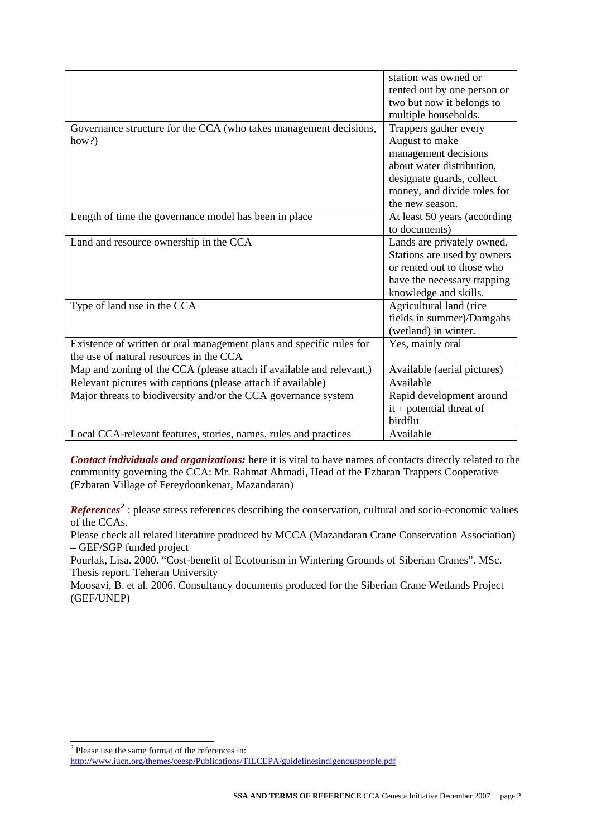|                                                                      | station was owned or         |
|----------------------------------------------------------------------|------------------------------|
|                                                                      | rented out by one person or  |
|                                                                      | two but now it belongs to    |
|                                                                      | multiple households.         |
| Governance structure for the CCA (who takes management decisions,    | Trappers gather every        |
| how?)                                                                | August to make               |
|                                                                      | management decisions         |
|                                                                      | about water distribution,    |
|                                                                      | designate guards, collect    |
|                                                                      | money, and divide roles for  |
|                                                                      | the new season.              |
| Length of time the governance model has been in place                | At least 50 years (according |
|                                                                      | to documents)                |
| Land and resource ownership in the CCA                               | Lands are privately owned.   |
|                                                                      | Stations are used by owners  |
|                                                                      | or rented out to those who   |
|                                                                      | have the necessary trapping  |
|                                                                      | knowledge and skills.        |
| Type of land use in the CCA                                          | Agricultural land (rice      |
|                                                                      | fields in summer)/Damgahs    |
|                                                                      | (wetland) in winter.         |
| Existence of written or oral management plans and specific rules for | Yes, mainly oral             |
| the use of natural resources in the CCA                              |                              |
| Map and zoning of the CCA (please attach if available and relevant,) | Available (aerial pictures)  |
| Relevant pictures with captions (please attach if available)         | Available                    |
| Major threats to biodiversity and/or the CCA governance system       | Rapid development around     |
|                                                                      | $it + potential$ threat of   |
|                                                                      | birdflu                      |
| Local CCA-relevant features, stories, names, rules and practices     | Available                    |

*Contact individuals and organizations:* here it is vital to have names of contacts directly related to the community governing the CCA: Mr. Rahmat Ahmadi, Head of the Ezbaran Trappers Cooperative (Ezbaran Village of Fereydoonkenar, Mazandaran)

*References*<sup>[2](#page-1-0)</sup>: please stress references describing the conservation, cultural and socio-economic values of the CCAs.

Please check all related literature produced by MCCA (Mazandaran Crane Conservation Association) – GEF/SGP funded project

Pourlak, Lisa. 2000. "Cost-benefit of Ecotourism in Wintering Grounds of Siberian Cranes". MSc. Thesis report. Teheran University

Moosavi, B. et al. 2006. Consultancy documents produced for the Siberian Crane Wetlands Project (GEF/UNEP)

Please use the same format of the references in:

<span id="page-1-0"></span><http://www.iucn.org/themes/ceesp/Publications/TILCEPA/guidelinesindigenouspeople.pdf>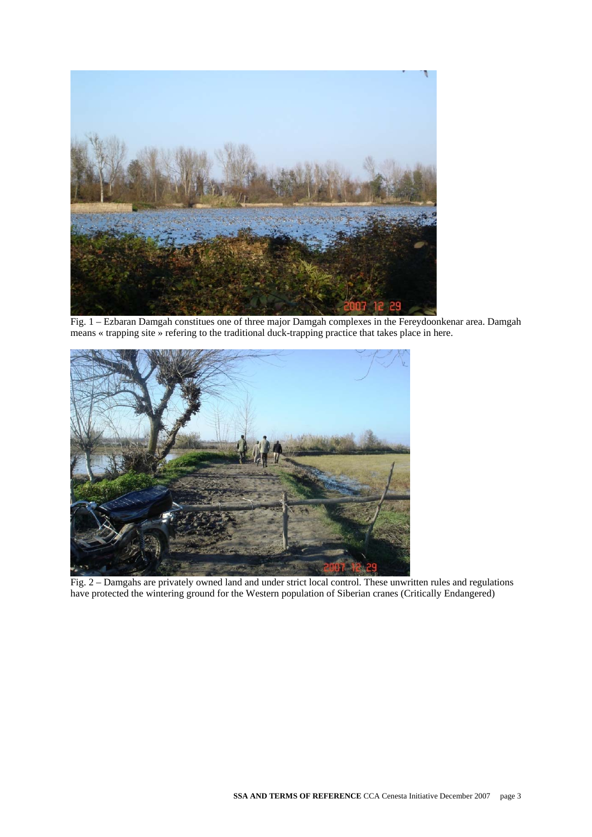

Fig. 1 – Ezbaran Damgah constitues one of three major Damgah complexes in the Fereydoonkenar area. Damgah means « trapping site » refering to the traditional duck-trapping practice that takes place in here.



Fig. 2 – Damgahs are privately owned land and under strict local control. These unwritten rules and regulations have protected the wintering ground for the Western population of Siberian cranes (Critically Endangered)